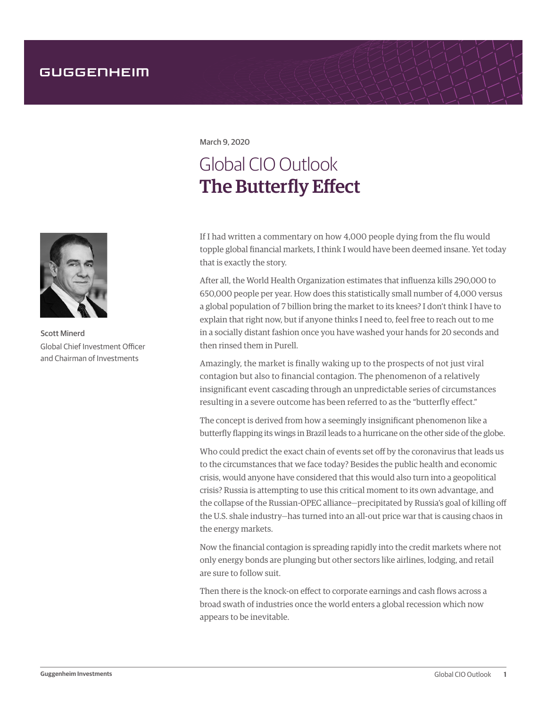March 9, 2020

## Global CIO Outlook The Butterfly Effect

If I had written a commentary on how 4,000 people dying from the flu would topple global financial markets, I think I would have been deemed insane. Yet today that is exactly the story.

After all, the World Health Organization estimates that influenza kills 290,000 to 650,000 people per year. How does this statistically small number of 4,000 versus a global population of 7 billion bring the market to its knees? I don't think I have to explain that right now, but if anyone thinks I need to, feel free to reach out to me in a socially distant fashion once you have washed your hands for 20 seconds and then rinsed them in Purell.

Amazingly, the market is finally waking up to the prospects of not just viral contagion but also to financial contagion. The phenomenon of a relatively insignificant event cascading through an unpredictable series of circumstances resulting in a severe outcome has been referred to as the "butterfly effect."

The concept is derived from how a seemingly insignificant phenomenon like a butterfly flapping its wings in Brazil leads to a hurricane on the other side of the globe.

Who could predict the exact chain of events set off by the coronavirus that leads us to the circumstances that we face today? Besides the public health and economic crisis, would anyone have considered that this would also turn into a geopolitical crisis? Russia is attempting to use this critical moment to its own advantage, and the collapse of the Russian-OPEC alliance—precipitated by Russia's goal of killing off the U.S. shale industry—has turned into an all-out price war that is causing chaos in the energy markets.

Now the financial contagion is spreading rapidly into the credit markets where not only energy bonds are plunging but other sectors like airlines, lodging, and retail are sure to follow suit.

Then there is the knock-on effect to corporate earnings and cash flows across a broad swath of industries once the world enters a global recession which now appears to be inevitable.



Scott Minerd Global Chief Investment Officer and Chairman of Investments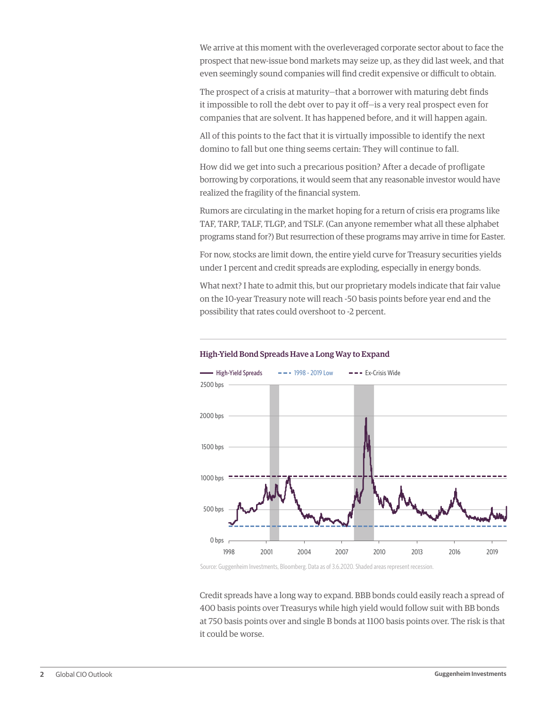We arrive at this moment with the overleveraged corporate sector about to face the prospect that new-issue bond markets may seize up, as they did last week, and that even seemingly sound companies will find credit expensive or difficult to obtain.

The prospect of a crisis at maturity—that a borrower with maturing debt finds it impossible to roll the debt over to pay it off—is a very real prospect even for companies that are solvent. It has happened before, and it will happen again.

All of this points to the fact that it is virtually impossible to identify the next domino to fall but one thing seems certain: They will continue to fall.

How did we get into such a precarious position? After a decade of profligate borrowing by corporations, it would seem that any reasonable investor would have realized the fragility of the financial system.

Rumors are circulating in the market hoping for a return of crisis era programs like TAF, TARP, TALF, TLGP, and TSLF. (Can anyone remember what all these alphabet programs stand for?) But resurrection of these programs may arrive in time for Easter.

For now, stocks are limit down, the entire yield curve for Treasury securities yields under 1 percent and credit spreads are exploding, especially in energy bonds.

What next? I hate to admit this, but our proprietary models indicate that fair value on the 10-year Treasury note will reach -50 basis points before year end and the possibility that rates could overshoot to -2 percent.



## High-Yield Bond Spreads Have a Long Way to Expand

Source: Guggenheim Investments, Bloomberg. Data as of 3.6.2020. Shaded areas represent recession.

Credit spreads have a long way to expand. BBB bonds could easily reach a spread of 400 basis points over Treasurys while high yield would follow suit with BB bonds at 750 basis points over and single B bonds at 1100 basis points over. The risk is that it could be worse.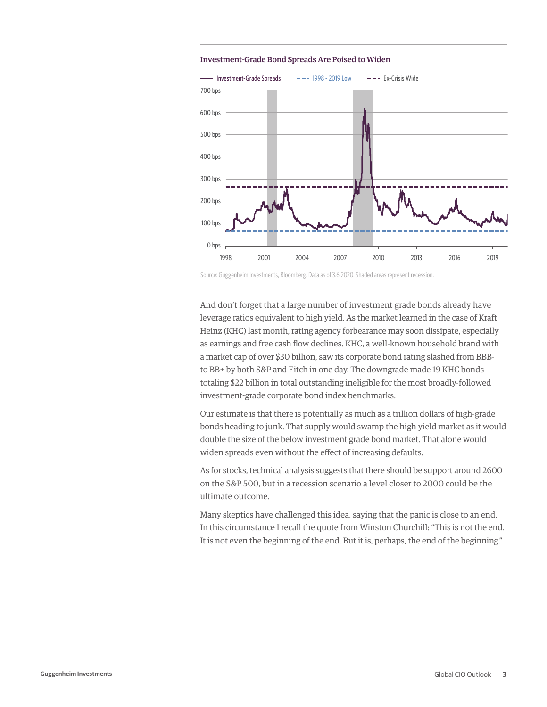



Source: Guggenheim Investments, Bloomberg. Data as of 3.6.2020. Shaded areas represent recession.

And don't forget that a large number of investment grade bonds already have leverage ratios equivalent to high yield. As the market learned in the case of Kraft Heinz (KHC) last month, rating agency forbearance may soon dissipate, especially as earnings and free cash flow declines. KHC, a well-known household brand with a market cap of over \$30 billion, saw its corporate bond rating slashed from BBBto BB+ by both S&P and Fitch in one day. The downgrade made 19 KHC bonds totaling \$22 billion in total outstanding ineligible for the most broadly-followed investment-grade corporate bond index benchmarks.

Our estimate is that there is potentially as much as a trillion dollars of high-grade bonds heading to junk. That supply would swamp the high yield market as it would double the size of the below investment grade bond market. That alone would widen spreads even without the effect of increasing defaults.

As for stocks, technical analysis suggests that there should be support around 2600 on the S&P 500, but in a recession scenario a level closer to 2000 could be the ultimate outcome.

Many skeptics have challenged this idea, saying that the panic is close to an end. In this circumstance I recall the quote from Winston Churchill: "This is not the end. It is not even the beginning of the end. But it is, perhaps, the end of the beginning."